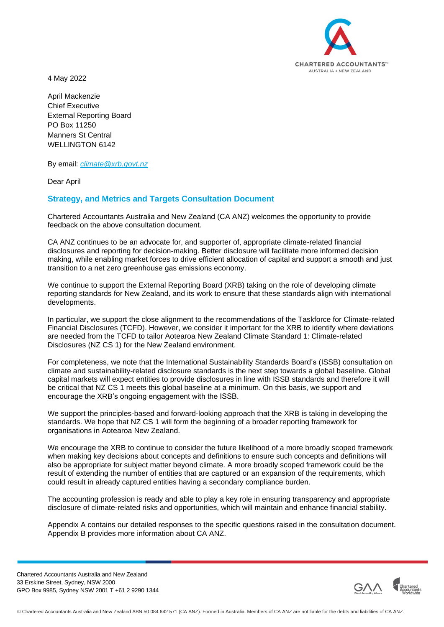

4 May 2022

April Mackenzie Chief Executive External Reporting Board PO Box 11250 Manners St Central WELLINGTON 6142

By email: *[climate@xrb.govt.nz](mailto:climate@xrb.govt.nz)*

Dear April

# **Strategy, and Metrics and Targets Consultation Document**

Chartered Accountants Australia and New Zealand (CA ANZ) welcomes the opportunity to provide feedback on the above consultation document.

CA ANZ continues to be an advocate for, and supporter of, appropriate climate-related financial disclosures and reporting for decision-making. Better disclosure will facilitate more informed decision making, while enabling market forces to drive efficient allocation of capital and support a smooth and just transition to a net zero greenhouse gas emissions economy.

We continue to support the External Reporting Board (XRB) taking on the role of developing climate reporting standards for New Zealand, and its work to ensure that these standards align with international developments.

In particular, we support the close alignment to the recommendations of the Taskforce for Climate-related Financial Disclosures (TCFD). However, we consider it important for the XRB to identify where deviations are needed from the TCFD to tailor Aotearoa New Zealand Climate Standard 1: Climate-related Disclosures (NZ CS 1) for the New Zealand environment.

For completeness, we note that the International Sustainability Standards Board's (ISSB) consultation on climate and sustainability-related disclosure standards is the next step towards a global baseline. Global capital markets will expect entities to provide disclosures in line with ISSB standards and therefore it will be critical that NZ CS 1 meets this global baseline at a minimum. On this basis, we support and encourage the XRB's ongoing engagement with the ISSB.

We support the principles-based and forward-looking approach that the XRB is taking in developing the standards. We hope that NZ CS 1 will form the beginning of a broader reporting framework for organisations in Aotearoa New Zealand.

We encourage the XRB to continue to consider the future likelihood of a more broadly scoped framework when making key decisions about concepts and definitions to ensure such concepts and definitions will also be appropriate for subject matter beyond climate. A more broadly scoped framework could be the result of extending the number of entities that are captured or an expansion of the requirements, which could result in already captured entities having a secondary compliance burden.

The accounting profession is ready and able to play a key role in ensuring transparency and appropriate disclosure of climate-related risks and opportunities, which will maintain and enhance financial stability.

Appendix A contains our detailed responses to the specific questions raised in the consultation document. Appendix B provides more information about CA ANZ.

Chartered Accountants Australia and New Zealand 33 Erskine Street, Sydney, NSW 2000 GPO Box 9985, Sydney NSW 2001 T +61 2 9290 1344

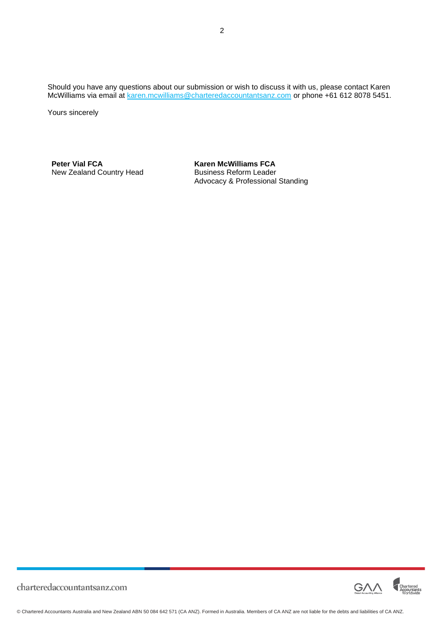Should you have any questions about our submission or wish to discuss it with us, please contact Karen McWilliams via email at [karen.mcwilliams@charteredaccountantsanz.com](mailto:karen.mcwilliams@charteredaccountantsanz.com) or phone +61 612 8078 5451.

Yours sincerely

**Peter Vial FCA Karen McWilliams FCA**<br>
New Zealand Country Head **Susiness Reform Leader** New Zealand Country Head

Advocacy & Professional Standing

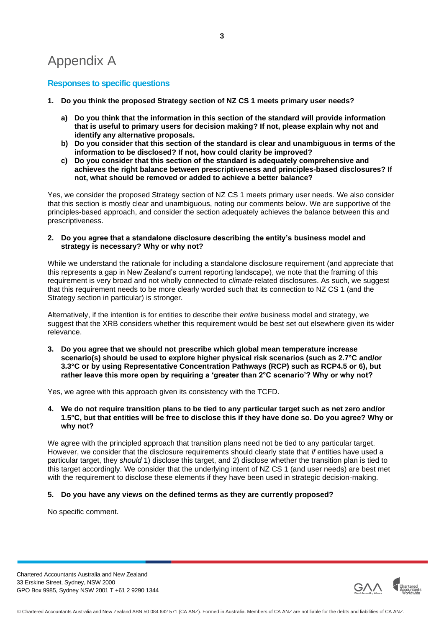# Appendix A

## **Responses to specific questions**

- **1. Do you think the proposed Strategy section of NZ CS 1 meets primary user needs?**
	- **a) Do you think that the information in this section of the standard will provide information that is useful to primary users for decision making? If not, please explain why not and identify any alternative proposals.**
	- **b) Do you consider that this section of the standard is clear and unambiguous in terms of the information to be disclosed? If not, how could clarity be improved?**
	- **c) Do you consider that this section of the standard is adequately comprehensive and achieves the right balance between prescriptiveness and principles-based disclosures? If not, what should be removed or added to achieve a better balance?**

Yes, we consider the proposed Strategy section of NZ CS 1 meets primary user needs. We also consider that this section is mostly clear and unambiguous, noting our comments below. We are supportive of the principles-based approach, and consider the section adequately achieves the balance between this and prescriptiveness.

**2. Do you agree that a standalone disclosure describing the entity's business model and strategy is necessary? Why or why not?**

While we understand the rationale for including a standalone disclosure requirement (and appreciate that this represents a gap in New Zealand's current reporting landscape), we note that the framing of this requirement is very broad and not wholly connected to *climate*-related disclosures. As such, we suggest that this requirement needs to be more clearly worded such that its connection to NZ CS 1 (and the Strategy section in particular) is stronger.

Alternatively, if the intention is for entities to describe their *entire* business model and strategy, we suggest that the XRB considers whether this requirement would be best set out elsewhere given its wider relevance.

**3. Do you agree that we should not prescribe which global mean temperature increase scenario(s) should be used to explore higher physical risk scenarios (such as 2.7°C and/or 3.3°C or by using Representative Concentration Pathways (RCP) such as RCP4.5 or 6), but rather leave this more open by requiring a 'greater than 2°C scenario'? Why or why not?**

Yes, we agree with this approach given its consistency with the TCFD.

**4. We do not require transition plans to be tied to any particular target such as net zero and/or 1.5°C, but that entities will be free to disclose this if they have done so. Do you agree? Why or why not?**

We agree with the principled approach that transition plans need not be tied to any particular target. However, we consider that the disclosure requirements should clearly state that *if* entities have used a particular target, they *should* 1) disclose this target, and 2) disclose whether the transition plan is tied to this target accordingly. We consider that the underlying intent of NZ CS 1 (and user needs) are best met with the requirement to disclose these elements if they have been used in strategic decision-making.

#### **5. Do you have any views on the defined terms as they are currently proposed?**

No specific comment.

Chartered Accountants Australia and New Zealand 33 Erskine Street, Sydney, NSW 2000 GPO Box 9985, Sydney NSW 2001 T +61 2 9290 1344

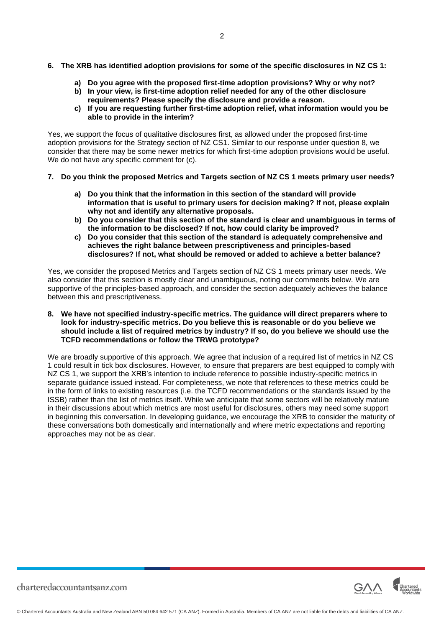**6. The XRB has identified adoption provisions for some of the specific disclosures in NZ CS 1:**

2

- **a) Do you agree with the proposed first-time adoption provisions? Why or why not?**
- **b) In your view, is first-time adoption relief needed for any of the other disclosure requirements? Please specify the disclosure and provide a reason.**
- **c) If you are requesting further first-time adoption relief, what information would you be able to provide in the interim?**

Yes, we support the focus of qualitative disclosures first, as allowed under the proposed first-time adoption provisions for the Strategy section of NZ CS1. Similar to our response under question 8, we consider that there may be some newer metrics for which first-time adoption provisions would be useful. We do not have any specific comment for  $(c)$ .

- **7. Do you think the proposed Metrics and Targets section of NZ CS 1 meets primary user needs?**
	- **a) Do you think that the information in this section of the standard will provide information that is useful to primary users for decision making? If not, please explain why not and identify any alternative proposals.**
	- **b) Do you consider that this section of the standard is clear and unambiguous in terms of the information to be disclosed? If not, how could clarity be improved?**
	- **c) Do you consider that this section of the standard is adequately comprehensive and achieves the right balance between prescriptiveness and principles-based disclosures? If not, what should be removed or added to achieve a better balance?**

Yes, we consider the proposed Metrics and Targets section of NZ CS 1 meets primary user needs. We also consider that this section is mostly clear and unambiguous, noting our comments below. We are supportive of the principles-based approach, and consider the section adequately achieves the balance between this and prescriptiveness.

**8. We have not specified industry-specific metrics. The guidance will direct preparers where to look for industry-specific metrics. Do you believe this is reasonable or do you believe we should include a list of required metrics by industry? If so, do you believe we should use the TCFD recommendations or follow the TRWG prototype?**

We are broadly supportive of this approach. We agree that inclusion of a required list of metrics in NZ CS 1 could result in tick box disclosures. However, to ensure that preparers are best equipped to comply with NZ CS 1, we support the XRB's intention to include reference to possible industry-specific metrics in separate guidance issued instead. For completeness, we note that references to these metrics could be in the form of links to existing resources (i.e. the TCFD recommendations or the standards issued by the ISSB) rather than the list of metrics itself. While we anticipate that some sectors will be relatively mature in their discussions about which metrics are most useful for disclosures, others may need some support in beginning this conversation. In developing guidance, we encourage the XRB to consider the maturity of these conversations both domestically and internationally and where metric expectations and reporting approaches may not be as clear.

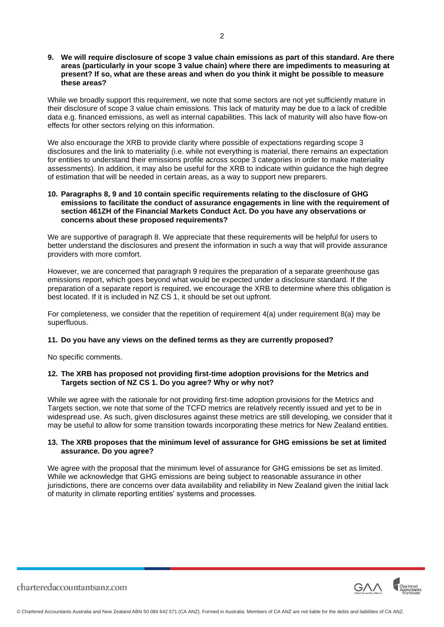#### **9. We will require disclosure of scope 3 value chain emissions as part of this standard. Are there areas (particularly in your scope 3 value chain) where there are impediments to measuring at present? If so, what are these areas and when do you think it might be possible to measure these areas?**

While we broadly support this requirement, we note that some sectors are not yet sufficiently mature in their disclosure of scope 3 value chain emissions. This lack of maturity may be due to a lack of credible data e.g. financed emissions, as well as internal capabilities. This lack of maturity will also have flow-on effects for other sectors relying on this information.

We also encourage the XRB to provide clarity where possible of expectations regarding scope 3 disclosures and the link to materiality (i.e. while not everything is material, there remains an expectation for entities to understand their emissions profile across scope 3 categories in order to make materiality assessments). In addition, it may also be useful for the XRB to indicate within guidance the high degree of estimation that will be needed in certain areas, as a way to support new preparers.

#### **10. Paragraphs 8, 9 and 10 contain specific requirements relating to the disclosure of GHG emissions to facilitate the conduct of assurance engagements in line with the requirement of section 461ZH of the Financial Markets Conduct Act. Do you have any observations or concerns about these proposed requirements?**

We are supportive of paragraph 8. We appreciate that these requirements will be helpful for users to better understand the disclosures and present the information in such a way that will provide assurance providers with more comfort.

However, we are concerned that paragraph 9 requires the preparation of a separate greenhouse gas emissions report, which goes beyond what would be expected under a disclosure standard. If the preparation of a separate report is required, we encourage the XRB to determine where this obligation is best located. If it is included in NZ CS 1, it should be set out upfront.

For completeness, we consider that the repetition of requirement 4(a) under requirement 8(a) may be superfluous.

#### **11. Do you have any views on the defined terms as they are currently proposed?**

No specific comments.

#### **12. The XRB has proposed not providing first-time adoption provisions for the Metrics and Targets section of NZ CS 1. Do you agree? Why or why not?**

While we agree with the rationale for not providing first-time adoption provisions for the Metrics and Targets section, we note that some of the TCFD metrics are relatively recently issued and yet to be in widespread use. As such, given disclosures against these metrics are still developing, we consider that it may be useful to allow for some transition towards incorporating these metrics for New Zealand entities.

### **13. The XRB proposes that the minimum level of assurance for GHG emissions be set at limited assurance. Do you agree?**

We agree with the proposal that the minimum level of assurance for GHG emissions be set as limited. While we acknowledge that GHG emissions are being subject to reasonable assurance in other jurisdictions, there are concerns over data availability and reliability in New Zealand given the initial lack of maturity in climate reporting entities' systems and processes.

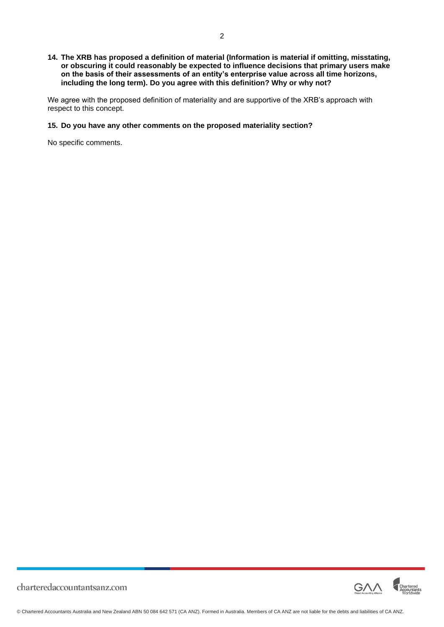#### **14. The XRB has proposed a definition of material (Information is material if omitting, misstating, or obscuring it could reasonably be expected to influence decisions that primary users make on the basis of their assessments of an entity's enterprise value across all time horizons, including the long term). Do you agree with this definition? Why or why not?**

We agree with the proposed definition of materiality and are supportive of the XRB's approach with respect to this concept.

## **15. Do you have any other comments on the proposed materiality section?**

No specific comments.